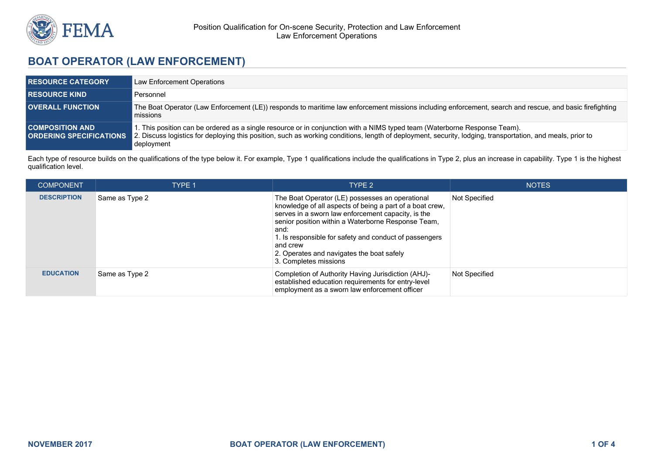

# **BOAT OPERATOR (LAW ENFORCEMENT)**

| <b>RESOURCE CATEGORY</b> | Law Enforcement Operations                                                                                                                                                                                                                                                                                                           |
|--------------------------|--------------------------------------------------------------------------------------------------------------------------------------------------------------------------------------------------------------------------------------------------------------------------------------------------------------------------------------|
| <b>RESOURCE KIND.</b>    | Personnel                                                                                                                                                                                                                                                                                                                            |
| <b>OVERALL FUNCTION</b>  | The Boat Operator (Law Enforcement (LE)) responds to maritime law enforcement missions including enforcement, search and rescue, and basic firefighting<br>missions                                                                                                                                                                  |
| <b>COMPOSITION AND</b>   | I. This position can be ordered as a single resource or in conjunction with a NIMS typed team (Waterborne Response Team).<br><b>ORDERING SPECIFICATIONS</b> 2. Discuss logistics for deploying this position, such as working conditions, length of deployment, security, lodging, transportation, and meals, prior to<br>deployment |

Each type of resource builds on the qualifications of the type below it. For example, Type 1 qualifications include the qualifications in Type 2, plus an increase in capability. Type 1 is the highest qualification level.

| <b>COMPONENT</b>   | <b>TYPE 1</b>  | TYPE 2                                                                                                                                                                                                                                                                                                                                                                      | <b>NOTES</b>  |
|--------------------|----------------|-----------------------------------------------------------------------------------------------------------------------------------------------------------------------------------------------------------------------------------------------------------------------------------------------------------------------------------------------------------------------------|---------------|
| <b>DESCRIPTION</b> | Same as Type 2 | The Boat Operator (LE) possesses an operational<br>knowledge of all aspects of being a part of a boat crew,<br>serves in a sworn law enforcement capacity, is the<br>senior position within a Waterborne Response Team,<br>and:<br>1. Is responsible for safety and conduct of passengers<br>and crew<br>2. Operates and navigates the boat safely<br>3. Completes missions | Not Specified |
| <b>EDUCATION</b>   | Same as Type 2 | Completion of Authority Having Jurisdiction (AHJ)-<br>established education requirements for entry-level<br>employment as a sworn law enforcement officer                                                                                                                                                                                                                   | Not Specified |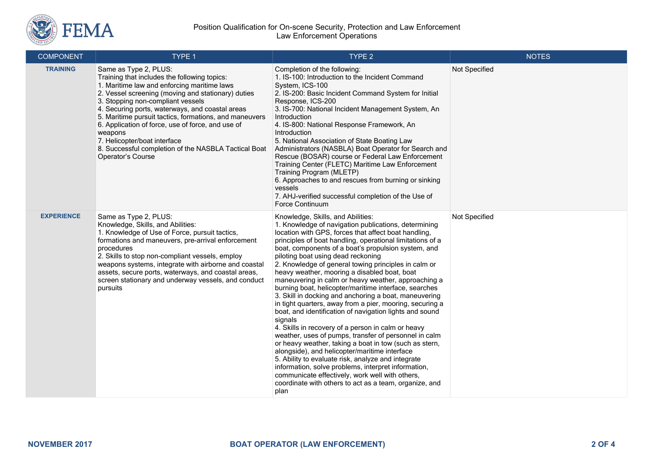

#### Position Qualification for On-scene Security, Protection and Law Enforcement Law Enforcement Operations

| <b>COMPONENT</b>  | TYPE 1                                                                                                                                                                                                                                                                                                                                                                                                                                                                                                    | TYPE 2                                                                                                                                                                                                                                                                                                                                                                                                                                                                                                                                                                                                                                                                                                                                                                                                                                                                                                                                                                                                                                                                                                                                                                                     | <b>NOTES</b>  |
|-------------------|-----------------------------------------------------------------------------------------------------------------------------------------------------------------------------------------------------------------------------------------------------------------------------------------------------------------------------------------------------------------------------------------------------------------------------------------------------------------------------------------------------------|--------------------------------------------------------------------------------------------------------------------------------------------------------------------------------------------------------------------------------------------------------------------------------------------------------------------------------------------------------------------------------------------------------------------------------------------------------------------------------------------------------------------------------------------------------------------------------------------------------------------------------------------------------------------------------------------------------------------------------------------------------------------------------------------------------------------------------------------------------------------------------------------------------------------------------------------------------------------------------------------------------------------------------------------------------------------------------------------------------------------------------------------------------------------------------------------|---------------|
| <b>TRAINING</b>   | Same as Type 2, PLUS:<br>Training that includes the following topics:<br>1. Maritime law and enforcing maritime laws<br>2. Vessel screening (moving and stationary) duties<br>3. Stopping non-compliant vessels<br>4. Securing ports, waterways, and coastal areas<br>5. Maritime pursuit tactics, formations, and maneuvers<br>6. Application of force, use of force, and use of<br>weapons<br>7. Helicopter/boat interface<br>8. Successful completion of the NASBLA Tactical Boat<br>Operator's Course | Completion of the following:<br>1. IS-100: Introduction to the Incident Command<br>System, ICS-100<br>2. IS-200: Basic Incident Command System for Initial<br>Response, ICS-200<br>3. IS-700: National Incident Management System, An<br>Introduction<br>4. IS-800: National Response Framework, An<br>Introduction<br>5. National Association of State Boating Law<br>Administrators (NASBLA) Boat Operator for Search and<br>Rescue (BOSAR) course or Federal Law Enforcement<br>Training Center (FLETC) Maritime Law Enforcement<br>Training Program (MLETP)<br>6. Approaches to and rescues from burning or sinking<br>vessels<br>7. AHJ-verified successful completion of the Use of<br>Force Continuum                                                                                                                                                                                                                                                                                                                                                                                                                                                                               | Not Specified |
| <b>EXPERIENCE</b> | Same as Type 2, PLUS:<br>Knowledge, Skills, and Abilities:<br>1. Knowledge of Use of Force, pursuit tactics,<br>formations and maneuvers, pre-arrival enforcement<br>procedures<br>2. Skills to stop non-compliant vessels, employ<br>weapons systems, integrate with airborne and coastal<br>assets, secure ports, waterways, and coastal areas,<br>screen stationary and underway vessels, and conduct<br>pursuits                                                                                      | Knowledge, Skills, and Abilities:<br>1. Knowledge of navigation publications, determining<br>location with GPS, forces that affect boat handling,<br>principles of boat handling, operational limitations of a<br>boat, components of a boat's propulsion system, and<br>piloting boat using dead reckoning<br>2. Knowledge of general towing principles in calm or<br>heavy weather, mooring a disabled boat, boat<br>maneuvering in calm or heavy weather, approaching a<br>burning boat, helicopter/maritime interface, searches<br>3. Skill in docking and anchoring a boat, maneuvering<br>in tight quarters, away from a pier, mooring, securing a<br>boat, and identification of navigation lights and sound<br>signals<br>4. Skills in recovery of a person in calm or heavy<br>weather, uses of pumps, transfer of personnel in calm<br>or heavy weather, taking a boat in tow (such as stern,<br>alongside), and helicopter/maritime interface<br>5. Ability to evaluate risk, analyze and integrate<br>information, solve problems, interpret information,<br>communicate effectively, work well with others,<br>coordinate with others to act as a team, organize, and<br>plan | Not Specified |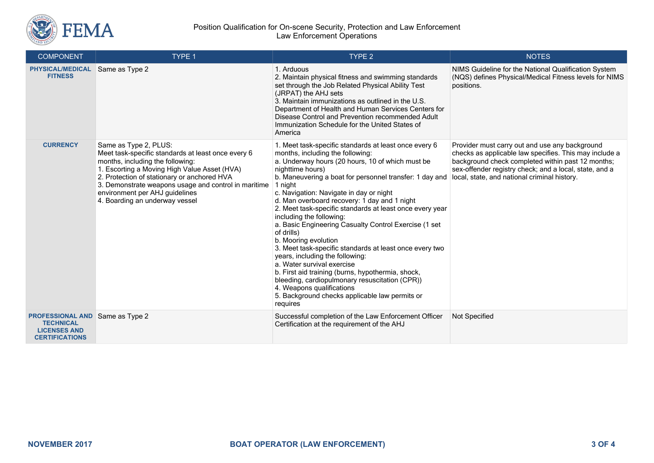

#### Position Qualification for On-scene Security, Protection and Law Enforcement Law Enforcement Operations

| <b>COMPONENT</b>                                                                                           | TYPE 1                                                                                                                                                                                                                                                                                                                                     | TYPE <sub>2</sub>                                                                                                                                                                                                                                                                                                                                                                                                                                                                                                                                                                                                                                                                                                                                                                                                                                       | <b>NOTES</b>                                                                                                                                                                                                                                                            |
|------------------------------------------------------------------------------------------------------------|--------------------------------------------------------------------------------------------------------------------------------------------------------------------------------------------------------------------------------------------------------------------------------------------------------------------------------------------|---------------------------------------------------------------------------------------------------------------------------------------------------------------------------------------------------------------------------------------------------------------------------------------------------------------------------------------------------------------------------------------------------------------------------------------------------------------------------------------------------------------------------------------------------------------------------------------------------------------------------------------------------------------------------------------------------------------------------------------------------------------------------------------------------------------------------------------------------------|-------------------------------------------------------------------------------------------------------------------------------------------------------------------------------------------------------------------------------------------------------------------------|
| <b>PHYSICAL/MEDICAL</b><br><b>FITNESS</b>                                                                  | Same as Type 2                                                                                                                                                                                                                                                                                                                             | 1. Arduous<br>2. Maintain physical fitness and swimming standards<br>set through the Job Related Physical Ability Test<br>(JRPAT) the AHJ sets<br>3. Maintain immunizations as outlined in the U.S.<br>Department of Health and Human Services Centers for<br>Disease Control and Prevention recommended Adult<br>Immunization Schedule for the United States of<br>America                                                                                                                                                                                                                                                                                                                                                                                                                                                                             | NIMS Guideline for the National Qualification System<br>(NQS) defines Physical/Medical Fitness levels for NIMS<br>positions.                                                                                                                                            |
| <b>CURRENCY</b>                                                                                            | Same as Type 2, PLUS:<br>Meet task-specific standards at least once every 6<br>months, including the following:<br>1. Escorting a Moving High Value Asset (HVA)<br>2. Protection of stationary or anchored HVA<br>3. Demonstrate weapons usage and control in maritime<br>environment per AHJ guidelines<br>4. Boarding an underway vessel | 1. Meet task-specific standards at least once every 6<br>months, including the following:<br>a. Underway hours (20 hours, 10 of which must be<br>nighttime hours)<br>b. Maneuvering a boat for personnel transfer: 1 day and<br>1 night<br>c. Navigation: Navigate in day or night<br>d. Man overboard recovery: 1 day and 1 night<br>2. Meet task-specific standards at least once every year<br>including the following:<br>a. Basic Engineering Casualty Control Exercise (1 set<br>of drills)<br>b. Mooring evolution<br>3. Meet task-specific standards at least once every two<br>years, including the following:<br>a. Water survival exercise<br>b. First aid training (burns, hypothermia, shock,<br>bleeding, cardiopulmonary resuscitation (CPR))<br>4. Weapons qualifications<br>5. Background checks applicable law permits or<br>requires | Provider must carry out and use any background<br>checks as applicable law specifies. This may include a<br>background check completed within past 12 months;<br>sex-offender registry check; and a local, state, and a<br>local, state, and national criminal history. |
| <b>PROFESSIONAL AND Same as Type 2</b><br><b>TECHNICAL</b><br><b>LICENSES AND</b><br><b>CERTIFICATIONS</b> |                                                                                                                                                                                                                                                                                                                                            | Successful completion of the Law Enforcement Officer<br>Certification at the requirement of the AHJ                                                                                                                                                                                                                                                                                                                                                                                                                                                                                                                                                                                                                                                                                                                                                     | Not Specified                                                                                                                                                                                                                                                           |